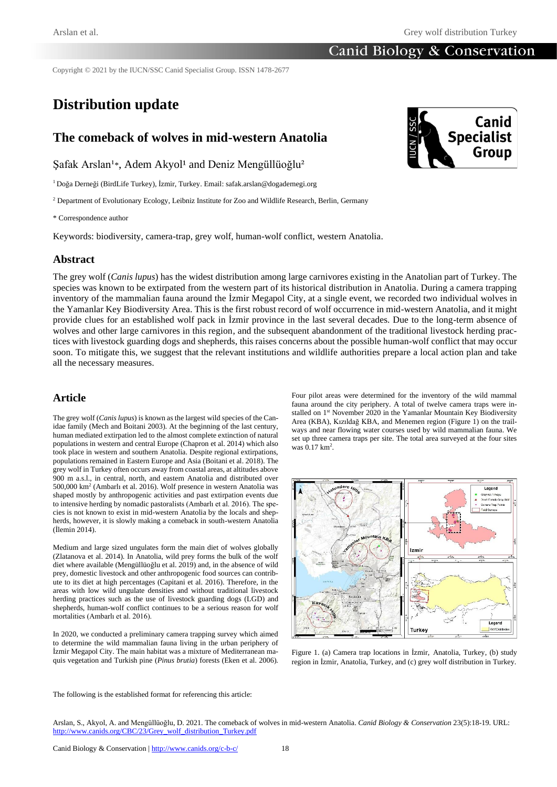Copyright © 2021 by the IUCN/SSC Canid Specialist Group. ISSN 1478-2677

# **Distribution update**

# **The comeback of wolves in mid-western Anatolia**

Safak Arslan<sup>1\*</sup>, Adem Akyol<sup>1</sup> and Deniz Mengüllüoğlu<sup>2</sup>

<sup>1</sup> Doğa Derneği (BirdLife Turkey), İzmir, Turkey. Email: safak.arslan@dogadernegi.org

<sup>2</sup> Department of Evolutionary Ecology, Leibniz Institute for Zoo and Wildlife Research, Berlin, Germany

\* Correspondence author

Keywords: biodiversity, camera-trap, grey wolf, human-wolf conflict, western Anatolia.

### **Abstract**

The grey wolf (*Canis lupus*) has the widest distribution among large carnivores existing in the Anatolian part of Turkey. The species was known to be extirpated from the western part of its historical distribution in Anatolia. During a camera trapping inventory of the mammalian fauna around the İzmir Megapol City, at a single event, we recorded two individual wolves in the Yamanlar Key Biodiversity Area. This is the first robust record of wolf occurrence in mid-western Anatolia, and it might provide clues for an established wolf pack in İzmir province in the last several decades. Due to the long-term absence of wolves and other large carnivores in this region, and the subsequent abandonment of the traditional livestock herding practices with livestock guarding dogs and shepherds, this raises concerns about the possible human-wolf conflict that may occur soon. To mitigate this, we suggest that the relevant institutions and wildlife authorities prepare a local action plan and take all the necessary measures.

#### **Article**

The grey wolf (*Canis lupus*) is known as the largest wild species of the Canidae family (Mech and Boitani 2003). At the beginning of the last century, human mediated extirpation led to the almost complete extinction of natural populations in western and central Europe (Chapron et al. 2014) which also took place in western and southern Anatolia. Despite regional extirpations, populations remained in Eastern Europe and Asia (Boitani et al. 2018). The grey wolf in Turkey often occurs away from coastal areas, at altitudes above 900 m a.s.l., in central, north, and eastern Anatolia and distributed over 500,000 km<sup>2</sup> (Ambarlı et al. 2016). Wolf presence in western Anatolia was shaped mostly by anthropogenic activities and past extirpation events due to intensive herding by nomadic pastoralists (Ambarlı et al. 2016). The species is not known to exist in mid-western Anatolia by the locals and shepherds, however, it is slowly making a comeback in south-western Anatolia (İlemin 2014).

Medium and large sized ungulates form the main diet of wolves globally (Zlatanova et al. 2014). In Anatolia, wild prey forms the bulk of the wolf diet where available (Mengüllüoğlu et al. 2019) and, in the absence of wild prey, domestic livestock and other anthropogenic food sources can contribute to its diet at high percentages (Capitani et al. 2016). Therefore, in the areas with low wild ungulate densities and without traditional livestock herding practices such as the use of livestock guarding dogs (LGD) and shepherds, human-wolf conflict continues to be a serious reason for wolf mortalities (Ambarlı et al. 2016).

In 2020, we conducted a preliminary camera trapping survey which aimed to determine the wild mammalian fauna living in the urban periphery of İzmir Megapol City. The main habitat was a mixture of Mediterranean maquis vegetation and Turkish pine (*Pinus brutia*) forests (Eken et al. 2006).

Four pilot areas were determined for the inventory of the wild mammal fauna around the city periphery. A total of twelve camera traps were installed on 1<sup>st</sup> November 2020 in the Yamanlar Mountain Key Biodiversity Area (KBA), Kızıldağ KBA, and Menemen region (Figure 1) on the trailways and near flowing water courses used by wild mammalian fauna. We set up three camera traps per site. The total area surveyed at the four sites was 0.17 km<sup>2</sup>.



Figure 1. (a) Camera trap locations in İzmir, Anatolia, Turkey, (b) study region in İzmir, Anatolia, Turkey, and (c) grey wolf distribution in Turkey.

The following is the established format for referencing this article:

Arslan, S., Akyol, A. and Mengüllüoğlu, D. 2021. The comeback of wolves in mid-western Anatolia. *Canid Biology & Conservation* 23(5):18-19. URL: http://www.canids.org/CBC/23/Grey\_wolf\_distribution\_Turkey.pdf